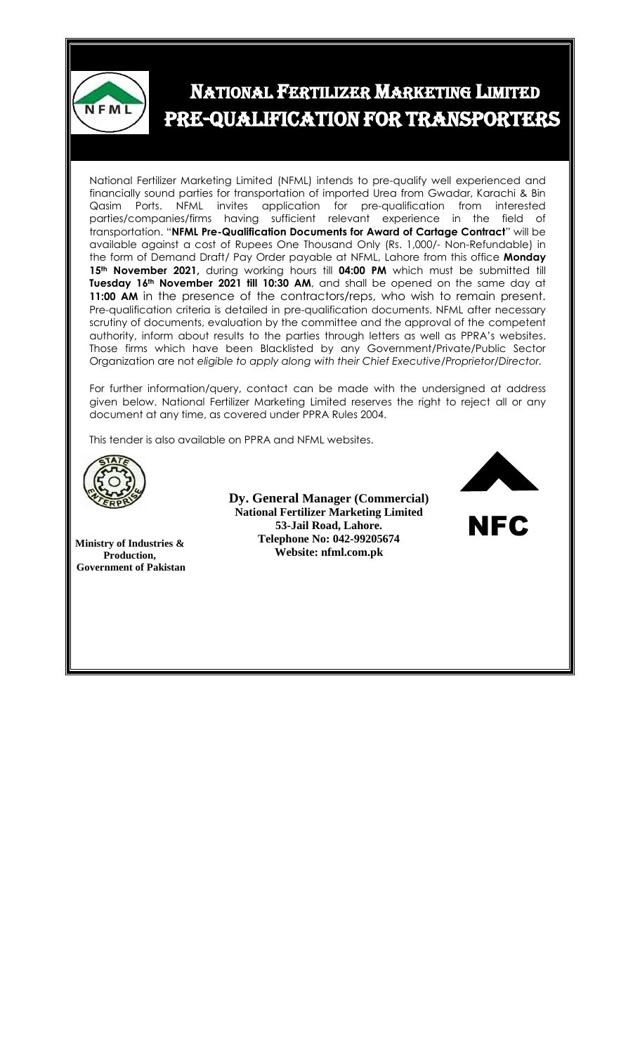

## NATIONAL FERTILIZER MARKETING LIMITED PRE-QUALIFICATION FOR TRANSPORTERS

National Fertilizer Marketing Limited (NFML) intends to pre-qualify well experienced and financially sound parties for transportation of imported Urea from Gwadar, Karachi & Bin Qasim Ports. NFML invites application for pre-qualification from interested parties/companies/firms having sufficient relevant experience in the field of transportation. "**NFML Pre-Qualification Documents for Award of Cartage Contract**" will be available against a cost of Rupees One Thousand Only (Rs. 1,000/- Non-Refundable) in the form of Demand Draft/ Pay Order payable at NFML, Lahore from this office **Monday 15th November 2021,** during working hours till **04:00 PM** which must be submitted till **Tuesday 16th November 2021 till 10:30 AM**, and shall be opened on the same day at **11:00 AM** in the presence of the contractors/reps, who wish to remain present. Pre-qualification criteria is detailed in pre-qualification documents. NFML after necessary scrutiny of documents, evaluation by the committee and the approval of the competent authority, inform about results to the parties through letters as well as PPRA's websites. Those firms which have been Blacklisted by any Government/Private/Public Sector Organization are not *eligible to apply along with their Chief Executive/Proprietor/Director.*

For further information/query, contact can be made with the undersigned at address given below. National Fertilizer Marketing Limited reserves the right to reject all or any document at any time, as covered under PPRA Rules 2004.

This tender is also available on PPRA and NFML websites.



**Ministry of Industries & Production, Government of Pakistan**

**Dy. General Manager (Commercial) National Fertilizer Marketing Limited 53-Jail Road, Lahore. Telephone No: 042-99205674 Website: nfml.com.pk**



NFC